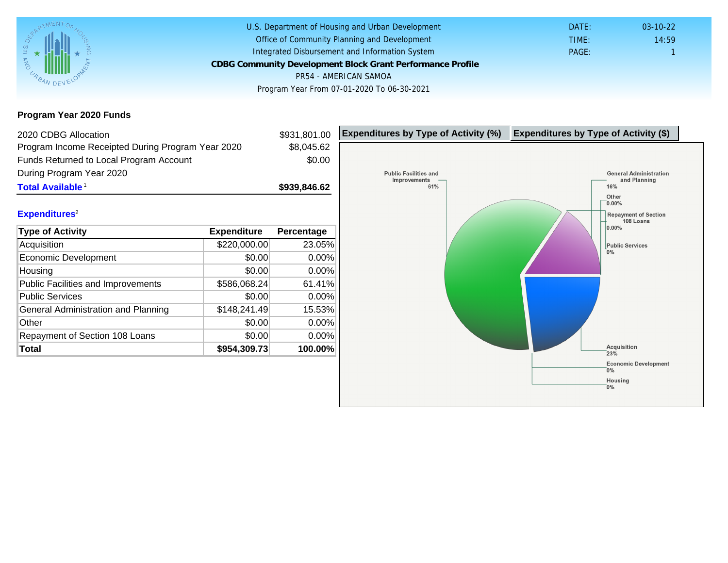Program Year 2020 Funds

| 2020 CDBG Allocation                              |              | \$931,801.00 | Expenditures by Type of Activity (%) | Expenditure |
|---------------------------------------------------|--------------|--------------|--------------------------------------|-------------|
| Program Income Receipted During Program Year 2020 |              | \$8,045.62   |                                      |             |
| Funds Returned to Local Program Account           |              | \$0.00       |                                      |             |
| During Program Year 2020                          |              |              |                                      |             |
| Total Available <sup>1</sup>                      |              | \$939,846.62 |                                      |             |
|                                                   |              |              |                                      |             |
| Expenditures <sup>2</sup>                         |              |              |                                      |             |
| <b>Type of Activity</b>                           | Expenditure  | Percentage   |                                      |             |
| Acquisition                                       | \$220,000.00 | 23.05%       |                                      |             |
| Economic Development                              | \$0.00       | 0.00%        |                                      |             |
| Housing                                           | \$0.00       | 0.00%        |                                      |             |
| <b>Public Facilities and Improvements</b>         | \$586,068.24 | 61.41%       |                                      |             |
| <b>Public Services</b>                            | \$0.00       | 0.00%        |                                      |             |
| General Administration and Planning               | \$148,241.49 | 15.53%       |                                      |             |
| Other                                             | \$0.00       | 0.00%        |                                      |             |
| Repayment of Section 108 Loans                    | \$0.00       | 0.00%        |                                      |             |
| Total                                             | \$954,309.73 | 100.00%      |                                      |             |
|                                                   |              |              |                                      |             |
|                                                   |              |              |                                      |             |
|                                                   |              |              |                                      |             |
|                                                   |              |              |                                      |             |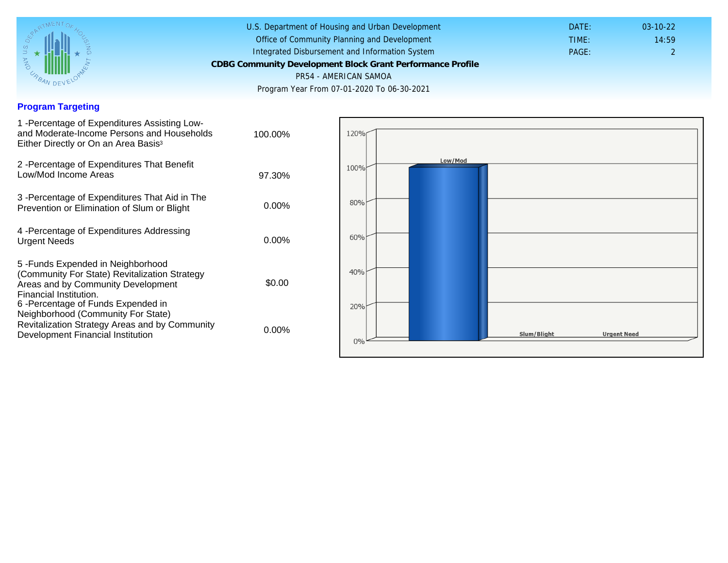## Program Targeting

| 1 - Percentage of Expenditures Assisting Low-<br>and Moderate-Income Persons and Households<br>Either Directly or On an Area Basis <sup>3</sup>                                                                                | 100.00%  |  |
|--------------------------------------------------------------------------------------------------------------------------------------------------------------------------------------------------------------------------------|----------|--|
| 2 - Percentage of Expenditures That Benefit<br>Low/Mod Income Areas                                                                                                                                                            | 97.30%   |  |
| 3 -Percentage of Expenditures That Aid in The<br>Prevention or Elimination of Slum or Blight                                                                                                                                   | $0.00\%$ |  |
| 4 - Percentage of Expenditures Addressing<br><b>Urgent Needs</b>                                                                                                                                                               | $0.00\%$ |  |
| 5-Funds Expended in Neighborhood<br>(Community For State) Revitalization Strategy<br>Areas and by Community Development<br>Financial Institution.<br>6 - Percentage of Funds Expended in<br>Neighborhood (Community For State) | \$0.00   |  |
| Revitalization Strategy Areas and by Community<br>Development Financial Institution                                                                                                                                            | $0.00\%$ |  |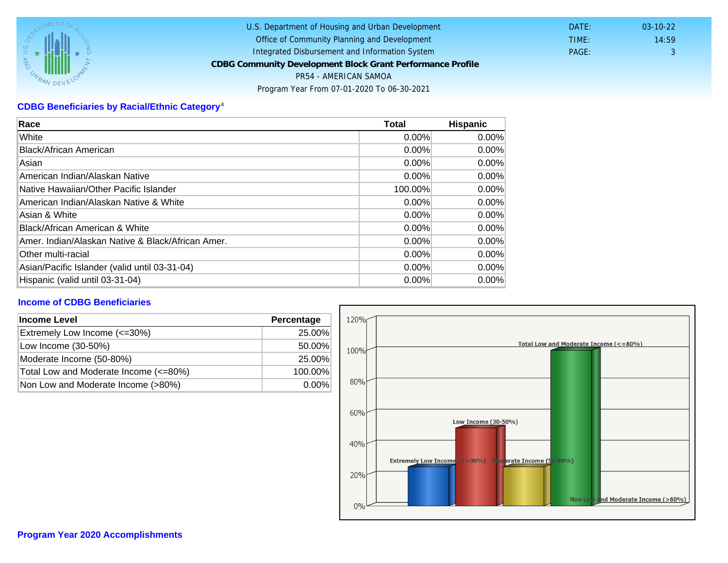## CDBG Beneficiaries by Racial/Ethnic Category <sup>4</sup>

| Race                                              | Total    | Hispanic |
|---------------------------------------------------|----------|----------|
| White                                             | $0.00\%$ | $0.00\%$ |
| Black/African American                            | $0.00\%$ | $0.00\%$ |
| Asian                                             | $0.00\%$ | $0.00\%$ |
| American Indian/Alaskan Native                    | 0.00%    | $0.00\%$ |
| lNative Hawaiian/Other Pacific Islander           | 100.00%  | $0.00\%$ |
| American Indian/Alaskan Native & White            | $0.00\%$ | $0.00\%$ |
| Asian & White                                     | 0.00%    | 0.00%    |
| Black/African American & White                    | $0.00\%$ | $0.00\%$ |
| Amer. Indian/Alaskan Native & Black/African Amer. | $0.00\%$ | $0.00\%$ |
| <b>Other multi-racial</b>                         | 0.00%    | $0.00\%$ |
| Asian/Pacific Islander (valid until 03-31-04)     | $0.00\%$ | $0.00\%$ |
| Hispanic (valid until 03-31-04)                   | $0.00\%$ | 0.00%    |

## Income of CDBG Beneficiaries

| Income Level                          | Percentage |
|---------------------------------------|------------|
| Extremely Low Income (<=30%)          | 25.00%     |
| Low Income (30-50%)                   | 50.00%     |
| Moderate Income (50-80%)              | 25.00%     |
| Total Low and Moderate Income (<=80%) | 100.00%    |
| Non Low and Moderate Income (>80%)    | $0.00\%$   |